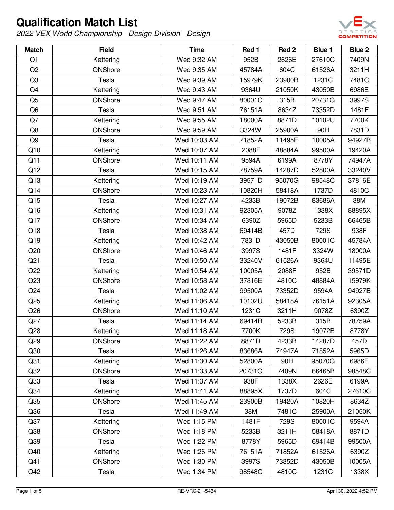

| <b>Match</b>    | <b>Field</b>   | <b>Time</b>  | Red 1  | Red <sub>2</sub> | Blue 1 | <b>Blue 2</b> |
|-----------------|----------------|--------------|--------|------------------|--------|---------------|
| Q1              | Kettering      | Wed 9:32 AM  | 952B   | 2626E            | 27610C | 7409N         |
| Q2              | ONShore        | Wed 9:35 AM  | 45784A | 604C             | 61526A | 3211H         |
| Q <sub>3</sub>  | Tesla          | Wed 9:39 AM  | 15979K | 23900B           | 1231C  | 7481C         |
| Q4              | Kettering      | Wed 9:43 AM  | 9364U  | 21050K           | 43050B | 6986E         |
| Q <sub>5</sub>  | ONShore        | Wed 9:47 AM  | 80001C | 315B             | 20731G | 3997S         |
| Q <sub>6</sub>  | Tesla          | Wed 9:51 AM  | 76151A | 8634Z            | 73352D | 1481F         |
| Q7              | Kettering      | Wed 9:55 AM  | 18000A | 8871D            | 10102U | 7700K         |
| Q8              | ONShore        | Wed 9:59 AM  | 3324W  | 25900A           | 90H    | 7831D         |
| Q9              | Tesla          | Wed 10:03 AM | 71852A | 11495E           | 10005A | 94927B        |
| Q10             | Kettering      | Wed 10:07 AM | 2088F  | 48884A           | 99500A | 19420A        |
| Q11             | ONShore        | Wed 10:11 AM | 9594A  | 6199A            | 8778Y  | 74947A        |
| Q12             | Tesla          | Wed 10:15 AM | 78759A | 14287D           | 52800A | 33240V        |
| Q13             | Kettering      | Wed 10:19 AM | 39571D | 95070G           | 98548C | 37816E        |
| Q14             | ONShore        | Wed 10:23 AM | 10820H | 58418A           | 1737D  | 4810C         |
| Q15             | Tesla          | Wed 10:27 AM | 4233B  | 19072B           | 83686A | 38M           |
| Q16             | Kettering      | Wed 10:31 AM | 92305A | 9078Z            | 1338X  | 88895X        |
| Q17             | ONShore        | Wed 10:34 AM | 6390Z  | 5965D            | 5233B  | 66465B        |
| Q18             | Tesla          | Wed 10:38 AM | 69414B | 457D             | 729S   | 938F          |
| Q19             | Kettering      | Wed 10:42 AM | 7831D  | 43050B           | 80001C | 45784A        |
| Q20             | ONShore        | Wed 10:46 AM | 3997S  | 1481F            | 3324W  | 18000A        |
| Q <sub>21</sub> | Tesla          | Wed 10:50 AM | 33240V | 61526A           | 9364U  | 11495E        |
| Q22             | Kettering      | Wed 10:54 AM | 10005A | 2088F            | 952B   | 39571D        |
| Q23             | ONShore        | Wed 10:58 AM | 37816E | 4810C            | 48884A | 15979K        |
| Q24             | Tesla          | Wed 11:02 AM | 99500A | 73352D           | 9594A  | 94927B        |
| Q25             | Kettering      | Wed 11:06 AM | 10102U | 58418A           | 76151A | 92305A        |
| Q26             | ONShore        | Wed 11:10 AM | 1231C  | 3211H            | 9078Z  | 6390Z         |
| Q27             | Tesla          | Wed 11:14 AM | 69414B | 5233B            | 315B   | 78759A        |
| Q28             | Kettering      | Wed 11:18 AM | 7700K  | 729S             | 19072B | 8778Y         |
| Q29             | ONShore        | Wed 11:22 AM | 8871D  | 4233B            | 14287D | 457D          |
| Q30             | Tesla          | Wed 11:26 AM | 83686A | 74947A           | 71852A | 5965D         |
| Q <sub>31</sub> | Kettering      | Wed 11:30 AM | 52800A | 90H              | 95070G | 6986E         |
| Q <sub>32</sub> | ONShore        | Wed 11:33 AM | 20731G | 7409N            | 66465B | 98548C        |
| Q <sub>33</sub> | Tesla          | Wed 11:37 AM | 938F   | 1338X            | 2626E  | 6199A         |
| Q34             | Kettering      | Wed 11:41 AM | 88895X | 1737D            | 604C   | 27610C        |
| Q <sub>35</sub> | ONShore        | Wed 11:45 AM | 23900B | 19420A           | 10820H | 8634Z         |
| Q36             | Tesla          | Wed 11:49 AM | 38M    | 7481C            | 25900A | 21050K        |
| Q37             | Kettering      | Wed 1:15 PM  | 1481F  | 729S             | 80001C | 9594A         |
| Q38             | <b>ONShore</b> | Wed 1:18 PM  | 5233B  | 3211H            | 58418A | 8871D         |
| Q39             | Tesla          | Wed 1:22 PM  | 8778Y  | 5965D            | 69414B | 99500A        |
| Q40             | Kettering      | Wed 1:26 PM  | 76151A | 71852A           | 61526A | 6390Z         |
| Q41             | ONShore        | Wed 1:30 PM  | 3997S  | 73352D           | 43050B | 10005A        |
| Q42             | Tesla          | Wed 1:34 PM  | 98548C | 4810C            | 1231C  | 1338X         |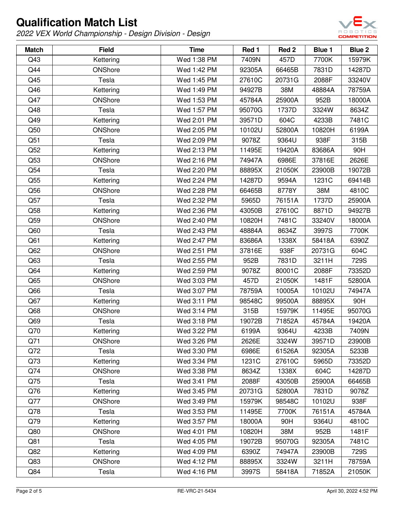

| <b>Match</b> | <b>Field</b> | <b>Time</b> | Red 1  | Red <sub>2</sub> | Blue 1 | Blue 2 |
|--------------|--------------|-------------|--------|------------------|--------|--------|
| Q43          | Kettering    | Wed 1:38 PM | 7409N  | 457D             | 7700K  | 15979K |
| Q44          | ONShore      | Wed 1:42 PM | 92305A | 66465B           | 7831D  | 14287D |
| Q45          | Tesla        | Wed 1:45 PM | 27610C | 20731G           | 2088F  | 33240V |
| Q46          | Kettering    | Wed 1:49 PM | 94927B | 38M              | 48884A | 78759A |
| Q47          | ONShore      | Wed 1:53 PM | 45784A | 25900A           | 952B   | 18000A |
| Q48          | Tesla        | Wed 1:57 PM | 95070G | 1737D            | 3324W  | 8634Z  |
| Q49          | Kettering    | Wed 2:01 PM | 39571D | 604C             | 4233B  | 7481C  |
| Q50          | ONShore      | Wed 2:05 PM | 10102U | 52800A           | 10820H | 6199A  |
| Q51          | Tesla        | Wed 2:09 PM | 9078Z  | 9364U            | 938F   | 315B   |
| Q52          | Kettering    | Wed 2:13 PM | 11495E | 19420A           | 83686A | 90H    |
| Q53          | ONShore      | Wed 2:16 PM | 74947A | 6986E            | 37816E | 2626E  |
| Q54          | Tesla        | Wed 2:20 PM | 88895X | 21050K           | 23900B | 19072B |
| Q55          | Kettering    | Wed 2:24 PM | 14287D | 9594A            | 1231C  | 69414B |
| Q56          | ONShore      | Wed 2:28 PM | 66465B | 8778Y            | 38M    | 4810C  |
| Q57          | Tesla        | Wed 2:32 PM | 5965D  | 76151A           | 1737D  | 25900A |
| Q58          | Kettering    | Wed 2:36 PM | 43050B | 27610C           | 8871D  | 94927B |
| Q59          | ONShore      | Wed 2:40 PM | 10820H | 7481C            | 33240V | 18000A |
| Q60          | Tesla        | Wed 2:43 PM | 48884A | 8634Z            | 3997S  | 7700K  |
| Q61          | Kettering    | Wed 2:47 PM | 83686A | 1338X            | 58418A | 6390Z  |
| Q62          | ONShore      | Wed 2:51 PM | 37816E | 938F             | 20731G | 604C   |
| Q63          | Tesla        | Wed 2:55 PM | 952B   | 7831D            | 3211H  | 729S   |
| Q64          | Kettering    | Wed 2:59 PM | 9078Z  | 80001C           | 2088F  | 73352D |
| Q65          | ONShore      | Wed 3:03 PM | 457D   | 21050K           | 1481F  | 52800A |
| Q66          | Tesla        | Wed 3:07 PM | 78759A | 10005A           | 10102U | 74947A |
| Q67          | Kettering    | Wed 3:11 PM | 98548C | 99500A           | 88895X | 90H    |
| Q68          | ONShore      | Wed 3:14 PM | 315B   | 15979K           | 11495E | 95070G |
| Q69          | Tesla        | Wed 3:18 PM | 19072B | 71852A           | 45784A | 19420A |
| Q70          | Kettering    | Wed 3:22 PM | 6199A  | 9364U            | 4233B  | 7409N  |
| Q71          | ONShore      | Wed 3:26 PM | 2626E  | 3324W            | 39571D | 23900B |
| Q72          | Tesla        | Wed 3:30 PM | 6986E  | 61526A           | 92305A | 5233B  |
| Q73          | Kettering    | Wed 3:34 PM | 1231C  | 27610C           | 5965D  | 73352D |
| Q74          | ONShore      | Wed 3:38 PM | 8634Z  | 1338X            | 604C   | 14287D |
| Q75          | Tesla        | Wed 3:41 PM | 2088F  | 43050B           | 25900A | 66465B |
| Q76          | Kettering    | Wed 3:45 PM | 20731G | 52800A           | 7831D  | 9078Z  |
| Q77          | ONShore      | Wed 3:49 PM | 15979K | 98548C           | 10102U | 938F   |
| Q78          | Tesla        | Wed 3:53 PM | 11495E | 7700K            | 76151A | 45784A |
| Q79          | Kettering    | Wed 3:57 PM | 18000A | 90H              | 9364U  | 4810C  |
| Q80          | ONShore      | Wed 4:01 PM | 10820H | 38M              | 952B   | 1481F  |
| Q81          | Tesla        | Wed 4:05 PM | 19072B | 95070G           | 92305A | 7481C  |
| Q82          | Kettering    | Wed 4:09 PM | 6390Z  | 74947A           | 23900B | 729S   |
| Q83          | ONShore      | Wed 4:12 PM | 88895X | 3324W            | 3211H  | 78759A |
| Q84          | Tesla        | Wed 4:16 PM | 3997S  | 58418A           | 71852A | 21050K |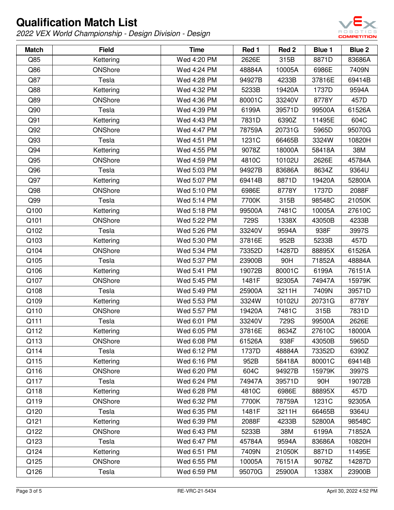

| <b>Match</b> | <b>Field</b>   | <b>Time</b> | Red 1  | Red <sub>2</sub> | Blue 1 | <b>Blue 2</b> |
|--------------|----------------|-------------|--------|------------------|--------|---------------|
| Q85          | Kettering      | Wed 4:20 PM | 2626E  | 315B             | 8871D  | 83686A        |
| Q86          | ONShore        | Wed 4:24 PM | 48884A | 10005A           | 6986E  | 7409N         |
| Q87          | Tesla          | Wed 4:28 PM | 94927B | 4233B            | 37816E | 69414B        |
| Q88          | Kettering      | Wed 4:32 PM | 5233B  | 19420A           | 1737D  | 9594A         |
| Q89          | ONShore        | Wed 4:36 PM | 80001C | 33240V           | 8778Y  | 457D          |
| Q90          | Tesla          | Wed 4:39 PM | 6199A  | 39571D           | 99500A | 61526A        |
| Q91          | Kettering      | Wed 4:43 PM | 7831D  | 6390Z            | 11495E | 604C          |
| Q92          | ONShore        | Wed 4:47 PM | 78759A | 20731G           | 5965D  | 95070G        |
| Q93          | Tesla          | Wed 4:51 PM | 1231C  | 66465B           | 3324W  | 10820H        |
| Q94          | Kettering      | Wed 4:55 PM | 9078Z  | 18000A           | 58418A | 38M           |
| Q95          | ONShore        | Wed 4:59 PM | 4810C  | 10102U           | 2626E  | 45784A        |
| Q96          | Tesla          | Wed 5:03 PM | 94927B | 83686A           | 8634Z  | 9364U         |
| Q97          | Kettering      | Wed 5:07 PM | 69414B | 8871D            | 19420A | 52800A        |
| Q98          | ONShore        | Wed 5:10 PM | 6986E  | 8778Y            | 1737D  | 2088F         |
| Q99          | Tesla          | Wed 5:14 PM | 7700K  | 315B             | 98548C | 21050K        |
| Q100         | Kettering      | Wed 5:18 PM | 99500A | 7481C            | 10005A | 27610C        |
| Q101         | ONShore        | Wed 5:22 PM | 729S   | 1338X            | 43050B | 4233B         |
| Q102         | Tesla          | Wed 5:26 PM | 33240V | 9594A            | 938F   | 3997S         |
| Q103         | Kettering      | Wed 5:30 PM | 37816E | 952B             | 5233B  | 457D          |
| Q104         | ONShore        | Wed 5:34 PM | 73352D | 14287D           | 88895X | 61526A        |
| Q105         | Tesla          | Wed 5:37 PM | 23900B | 90H              | 71852A | 48884A        |
| Q106         | Kettering      | Wed 5:41 PM | 19072B | 80001C           | 6199A  | 76151A        |
| Q107         | ONShore        | Wed 5:45 PM | 1481F  | 92305A           | 74947A | 15979K        |
| Q108         | Tesla          | Wed 5:49 PM | 25900A | 3211H            | 7409N  | 39571D        |
| Q109         | Kettering      | Wed 5:53 PM | 3324W  | 10102U           | 20731G | 8778Y         |
| Q110         | ONShore        | Wed 5:57 PM | 19420A | 7481C            | 315B   | 7831D         |
| Q111         | Tesla          | Wed 6:01 PM | 33240V | 729S             | 99500A | 2626E         |
| Q112         | Kettering      | Wed 6:05 PM | 37816E | 8634Z            | 27610C | 18000A        |
| Q113         | <b>ONShore</b> | Wed 6:08 PM | 61526A | 938F             | 43050B | 5965D         |
| Q114         | Tesla          | Wed 6:12 PM | 1737D  | 48884A           | 73352D | 6390Z         |
| Q115         | Kettering      | Wed 6:16 PM | 952B   | 58418A           | 80001C | 69414B        |
| Q116         | ONShore        | Wed 6:20 PM | 604C   | 94927B           | 15979K | 3997S         |
| Q117         | Tesla          | Wed 6:24 PM | 74947A | 39571D           | 90H    | 19072B        |
| Q118         | Kettering      | Wed 6:28 PM | 4810C  | 6986E            | 88895X | 457D          |
| Q119         | ONShore        | Wed 6:32 PM | 7700K  | 78759A           | 1231C  | 92305A        |
| Q120         | Tesla          | Wed 6:35 PM | 1481F  | 3211H            | 66465B | 9364U         |
| Q121         | Kettering      | Wed 6:39 PM | 2088F  | 4233B            | 52800A | 98548C        |
| Q122         | <b>ONShore</b> | Wed 6:43 PM | 5233B  | 38M              | 6199A  | 71852A        |
| Q123         | Tesla          | Wed 6:47 PM | 45784A | 9594A            | 83686A | 10820H        |
| Q124         | Kettering      | Wed 6:51 PM | 7409N  | 21050K           | 8871D  | 11495E        |
| Q125         | ONShore        | Wed 6:55 PM | 10005A | 76151A           | 9078Z  | 14287D        |
| Q126         | Tesla          | Wed 6:59 PM | 95070G | 25900A           | 1338X  | 23900B        |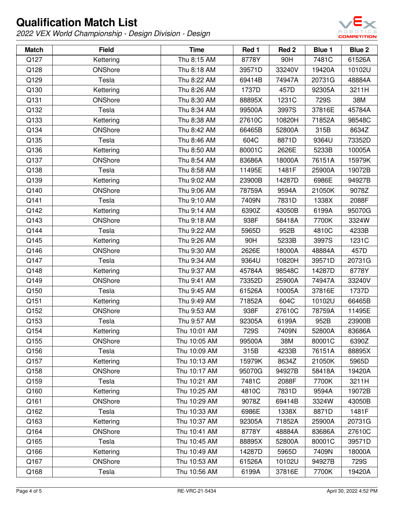

| <b>Match</b> | <b>Field</b> | <b>Time</b>  | Red 1  | Red <sub>2</sub> | <b>Blue 1</b> | Blue 2 |
|--------------|--------------|--------------|--------|------------------|---------------|--------|
| Q127         | Kettering    | Thu 8:15 AM  | 8778Y  | 90H              | 7481C         | 61526A |
| Q128         | ONShore      | Thu 8:18 AM  | 39571D | 33240V           | 19420A        | 10102U |
| Q129         | Tesla        | Thu 8:22 AM  | 69414B | 74947A           | 20731G        | 48884A |
| Q130         | Kettering    | Thu 8:26 AM  | 1737D  | 457D             | 92305A        | 3211H  |
| Q131         | ONShore      | Thu 8:30 AM  | 88895X | 1231C            | 729S          | 38M    |
| Q132         | Tesla        | Thu 8:34 AM  | 99500A | 3997S            | 37816E        | 45784A |
| Q133         | Kettering    | Thu 8:38 AM  | 27610C | 10820H           | 71852A        | 98548C |
| Q134         | ONShore      | Thu 8:42 AM  | 66465B | 52800A           | 315B          | 8634Z  |
| Q135         | Tesla        | Thu 8:46 AM  | 604C   | 8871D            | 9364U         | 73352D |
| Q136         | Kettering    | Thu 8:50 AM  | 80001C | 2626E            | 5233B         | 10005A |
| Q137         | ONShore      | Thu 8:54 AM  | 83686A | 18000A           | 76151A        | 15979K |
| Q138         | Tesla        | Thu 8:58 AM  | 11495E | 1481F            | 25900A        | 19072B |
| Q139         | Kettering    | Thu 9:02 AM  | 23900B | 14287D           | 6986E         | 94927B |
| Q140         | ONShore      | Thu 9:06 AM  | 78759A | 9594A            | 21050K        | 9078Z  |
| Q141         | Tesla        | Thu 9:10 AM  | 7409N  | 7831D            | 1338X         | 2088F  |
| Q142         | Kettering    | Thu 9:14 AM  | 6390Z  | 43050B           | 6199A         | 95070G |
| Q143         | ONShore      | Thu 9:18 AM  | 938F   | 58418A           | 7700K         | 3324W  |
| Q144         | Tesla        | Thu 9:22 AM  | 5965D  | 952B             | 4810C         | 4233B  |
| Q145         | Kettering    | Thu 9:26 AM  | 90H    | 5233B            | 3997S         | 1231C  |
| Q146         | ONShore      | Thu 9:30 AM  | 2626E  | 18000A           | 48884A        | 457D   |
| Q147         | Tesla        | Thu 9:34 AM  | 9364U  | 10820H           | 39571D        | 20731G |
| Q148         | Kettering    | Thu 9:37 AM  | 45784A | 98548C           | 14287D        | 8778Y  |
| Q149         | ONShore      | Thu 9:41 AM  | 73352D | 25900A           | 74947A        | 33240V |
| Q150         | Tesla        | Thu 9:45 AM  | 61526A | 10005A           | 37816E        | 1737D  |
| Q151         | Kettering    | Thu 9:49 AM  | 71852A | 604C             | 10102U        | 66465B |
| Q152         | ONShore      | Thu 9:53 AM  | 938F   | 27610C           | 78759A        | 11495E |
| Q153         | Tesla        | Thu 9:57 AM  | 92305A | 6199A            | 952B          | 23900B |
| Q154         | Kettering    | Thu 10:01 AM | 729S   | 7409N            | 52800A        | 83686A |
| Q155         | ONShore      | Thu 10:05 AM | 99500A | 38M              | 80001C        | 6390Z  |
| Q156         | Tesla        | Thu 10:09 AM | 315B   | 4233B            | 76151A        | 88895X |
| Q157         | Kettering    | Thu 10:13 AM | 15979K | 8634Z            | 21050K        | 5965D  |
| Q158         | ONShore      | Thu 10:17 AM | 95070G | 94927B           | 58418A        | 19420A |
| Q159         | Tesla        | Thu 10:21 AM | 7481C  | 2088F            | 7700K         | 3211H  |
| Q160         | Kettering    | Thu 10:25 AM | 4810C  | 7831D            | 9594A         | 19072B |
| Q161         | ONShore      | Thu 10:29 AM | 9078Z  | 69414B           | 3324W         | 43050B |
| Q162         | Tesla        | Thu 10:33 AM | 6986E  | 1338X            | 8871D         | 1481F  |
| Q163         | Kettering    | Thu 10:37 AM | 92305A | 71852A           | 25900A        | 20731G |
| Q164         | ONShore      | Thu 10:41 AM | 8778Y  | 48884A           | 83686A        | 27610C |
| Q165         | Tesla        | Thu 10:45 AM | 88895X | 52800A           | 80001C        | 39571D |
| Q166         | Kettering    | Thu 10:49 AM | 14287D | 5965D            | 7409N         | 18000A |
| Q167         | ONShore      | Thu 10:53 AM | 61526A | 10102U           | 94927B        | 729S   |
| Q168         | Tesla        | Thu 10:56 AM | 6199A  | 37816E           | 7700K         | 19420A |